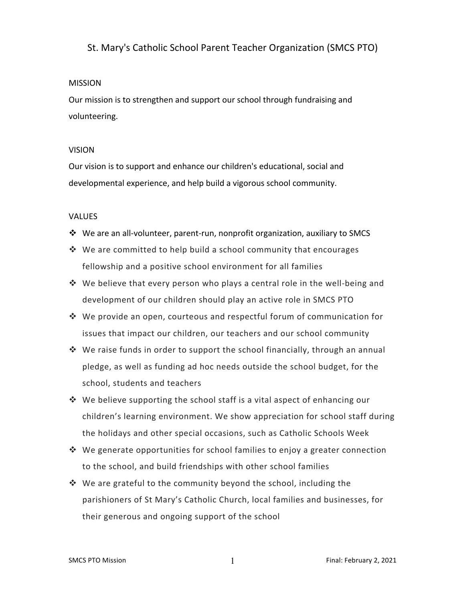## St. Mary's Catholic School Parent Teacher Organization (SMCS PTO)

#### **MISSION**

Our mission is to strengthen and support our school through fundraising and volunteering.

#### VISION

Our vision is to support and enhance our children's educational, social and developmental experience, and help build a vigorous school community.

#### VALUES

- ❖ We are an all-volunteer, parent-run, nonprofit organization, auxiliary to SMCS
- $*$  We are committed to help build a school community that encourages fellowship and a positive school environment for all families
- $*$  We believe that every person who plays a central role in the well-being and development of our children should play an active role in SMCS PTO
- $\cdot$  We provide an open, courteous and respectful forum of communication for issues that impact our children, our teachers and our school community
- $*$  We raise funds in order to support the school financially, through an annual pledge, as well as funding ad hoc needs outside the school budget, for the school, students and teachers
- $*$  We believe supporting the school staff is a vital aspect of enhancing our children's learning environment. We show appreciation for school staff during the holidays and other special occasions, such as Catholic Schools Week
- $\cdot$  We generate opportunities for school families to enjoy a greater connection to the school, and build friendships with other school families
- $*$  We are grateful to the community beyond the school, including the parishioners of St Mary's Catholic Church, local families and businesses, for their generous and ongoing support of the school